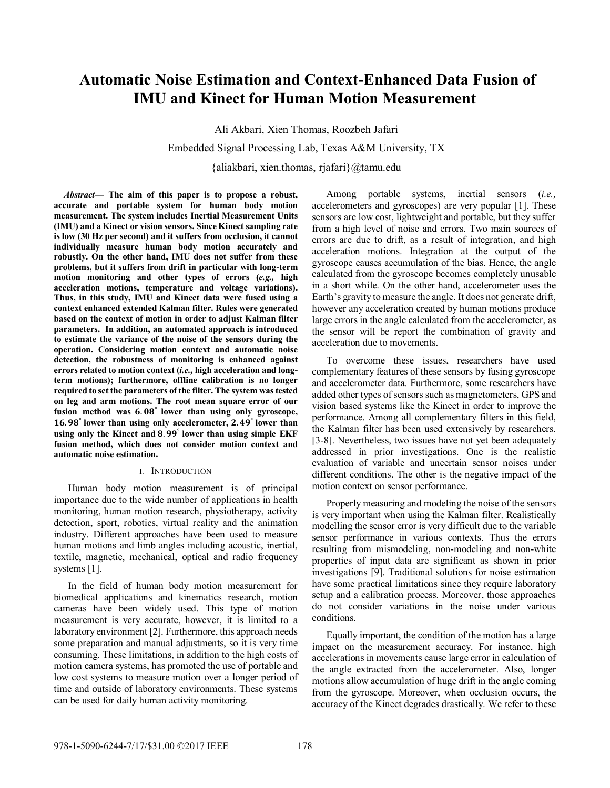# **Automatic Noise Estimation and Context-Enhanced Data Fusion of IMU and Kinect for Human Motion Measurement**

Ali Akbari, Xien Thomas, Roozbeh Jafari Embedded Signal Processing Lab, Texas A&M University, TX

{aliakbari, xien.thomas, rjafari}@tamu.edu

*Abstract***— The aim of this paper is to propose a robust, accurate and portable system for human body motion measurement. The system includes Inertial Measurement Units (IMU) and a Kinect or vision sensors. Since Kinect sampling rate is low (30 Hz per second) and it suffers from occlusion, it cannot individually measure human body motion accurately and robustly. On the other hand, IMU does not suffer from these problems, but it suffers from drift in particular with long-term motion monitoring and other types of errors (***e.g.,* **high acceleration motions, temperature and voltage variations). Thus, in this study, IMU and Kinect data were fused using a context enhanced extended Kalman filter. Rules were generated based on the context of motion in order to adjust Kalman filter parameters. In addition, an automated approach is introduced to estimate the variance of the noise of the sensors during the operation. Considering motion context and automatic noise detection, the robustness of monitoring is enhanced against errors related to motion context (***i.e.,* **high acceleration and longterm motions); furthermore, offline calibration is no longer required to set the parameters of the filter. The system was tested on leg and arm motions. The root mean square error of our**  fusion method was 6.08° lower than using only gyroscope, 16.98° lower than using only accelerometer, 2.49° lower than using only the Kinect and 8.99° lower than using simple EKF **fusion method, which does not consider motion context and automatic noise estimation.**

# I. INTRODUCTION

Human body motion measurement is of principal importance due to the wide number of applications in health monitoring, human motion research, physiotherapy, activity detection, sport, robotics, virtual reality and the animation industry. Different approaches have been used to measure human motions and limb angles including acoustic, inertial, textile, magnetic, mechanical, optical and radio frequency systems [1].

In the field of human body motion measurement for biomedical applications and kinematics research, motion cameras have been widely used. This type of motion measurement is very accurate, however, it is limited to a laboratory environment [2]. Furthermore, this approach needs some preparation and manual adjustments, so it is very time consuming. These limitations, in addition to the high costs of motion camera systems, has promoted the use of portable and low cost systems to measure motion over a longer period of time and outside of laboratory environments. These systems can be used for daily human activity monitoring.

Among portable systems, inertial sensors (*i.e.,* accelerometers and gyroscopes) are very popular [1]. These sensors are low cost, lightweight and portable, but they suffer from a high level of noise and errors. Two main sources of errors are due to drift, as a result of integration, and high acceleration motions. Integration at the output of the gyroscope causes accumulation of the bias. Hence, the angle calculated from the gyroscope becomes completely unusable in a short while. On the other hand, accelerometer uses the Earth's gravity to measure the angle. It does not generate drift, however any acceleration created by human motions produce large errors in the angle calculated from the accelerometer, as the sensor will be report the combination of gravity and acceleration due to movements.

To overcome these issues, researchers have used complementary features of these sensors by fusing gyroscope and accelerometer data. Furthermore, some researchers have added other types of sensors such as magnetometers, GPS and vision based systems like the Kinect in order to improve the performance. Among all complementary filters in this field, the Kalman filter has been used extensively by researchers. [3-8]. Nevertheless, two issues have not yet been adequately addressed in prior investigations. One is the realistic evaluation of variable and uncertain sensor noises under different conditions. The other is the negative impact of the motion context on sensor performance.

Properly measuring and modeling the noise of the sensors is very important when using the Kalman filter. Realistically modelling the sensor error is very difficult due to the variable sensor performance in various contexts. Thus the errors resulting from mismodeling, non-modeling and non-white properties of input data are significant as shown in prior investigations [9]. Traditional solutions for noise estimation have some practical limitations since they require laboratory setup and a calibration process. Moreover, those approaches do not consider variations in the noise under various conditions.

Equally important, the condition of the motion has a large impact on the measurement accuracy. For instance, high accelerations in movements cause large error in calculation of the angle extracted from the accelerometer. Also, longer motions allow accumulation of huge drift in the angle coming from the gyroscope. Moreover, when occlusion occurs, the accuracy of the Kinect degrades drastically. We refer to these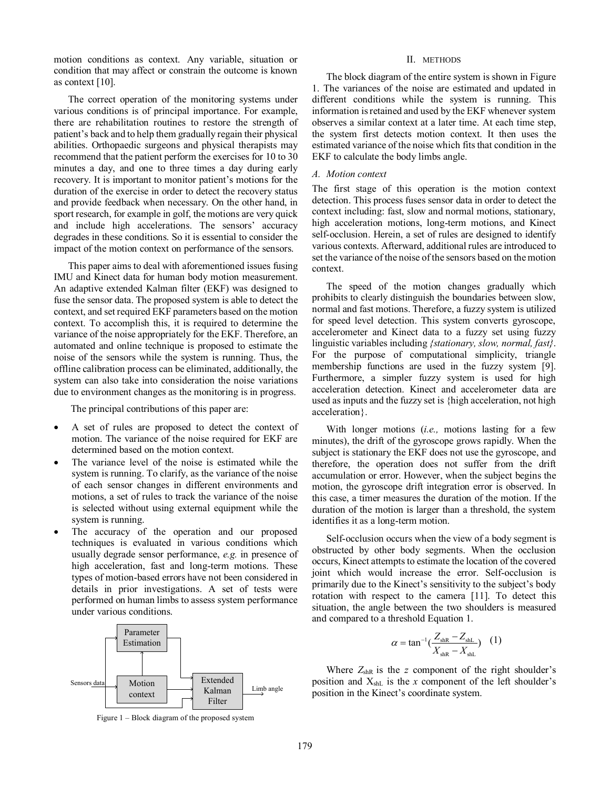motion conditions as context. Any variable, situation or condition that may affect or constrain the outcome is known as context [10].

The correct operation of the monitoring systems under various conditions is of principal importance. For example, there are rehabilitation routines to restore the strength of patient's back and to help them gradually regain their physical abilities. Orthopaedic surgeons and physical therapists may recommend that the patient perform the exercises for 10 to 30 minutes a day, and one to three times a day during early recovery. It is important to monitor patient's motions for the duration of the exercise in order to detect the recovery status and provide feedback when necessary. On the other hand, in sport research, for example in golf, the motions are very quick and include high accelerations. The sensors' accuracy degrades in these conditions. So it is essential to consider the impact of the motion context on performance of the sensors.

This paper aims to deal with aforementioned issues fusing IMU and Kinect data for human body motion measurement. An adaptive extended Kalman filter (EKF) was designed to fuse the sensor data. The proposed system is able to detect the context, and set required EKF parameters based on the motion context. To accomplish this, it is required to determine the variance of the noise appropriately for the EKF. Therefore, an automated and online technique is proposed to estimate the noise of the sensors while the system is running. Thus, the offline calibration process can be eliminated, additionally, the system can also take into consideration the noise variations due to environment changes as the monitoring is in progress.

The principal contributions of this paper are:

- A set of rules are proposed to detect the context of motion. The variance of the noise required for EKF are determined based on the motion context.
- The variance level of the noise is estimated while the system is running. To clarify, as the variance of the noise of each sensor changes in different environments and motions, a set of rules to track the variance of the noise is selected without using external equipment while the system is running.
- The accuracy of the operation and our proposed techniques is evaluated in various conditions which usually degrade sensor performance, *e.g.* in presence of high acceleration, fast and long-term motions. These types of motion-based errors have not been considered in details in prior investigations. A set of tests were performed on human limbs to assess system performance under various conditions.



II. METHODS

The block diagram of the entire system is shown in Figure 1. The variances of the noise are estimated and updated in different conditions while the system is running. This information isretained and used by the EKF whenever system observes a similar context at a later time. At each time step, the system first detects motion context. It then uses the estimated variance of the noise which fits that condition in the EKF to calculate the body limbs angle.

# *A. Motion context*

The first stage of this operation is the motion context detection. This process fuses sensor data in order to detect the context including: fast, slow and normal motions, stationary, high acceleration motions, long-term motions, and Kinect self-occlusion. Herein, a set of rules are designed to identify various contexts. Afterward, additional rules are introduced to set the variance of the noise of the sensors based on the motion context.

The speed of the motion changes gradually which prohibits to clearly distinguish the boundaries between slow, normal and fast motions. Therefore, a fuzzy system is utilized for speed level detection. This system converts gyroscope, accelerometer and Kinect data to a fuzzy set using fuzzy linguistic variables including *{stationary, slow, normal, fast}*. For the purpose of computational simplicity, triangle membership functions are used in the fuzzy system [9]. Furthermore, a simpler fuzzy system is used for high acceleration detection. Kinect and accelerometer data are used as inputs and the fuzzy set is {high acceleration, not high acceleration}.

With longer motions (*i.e.,* motions lasting for a few minutes), the drift of the gyroscope grows rapidly. When the subject is stationary the EKF does not use the gyroscope, and therefore, the operation does not suffer from the drift accumulation or error. However, when the subject begins the motion, the gyroscope drift integration error is observed. In this case, a timer measures the duration of the motion. If the duration of the motion is larger than a threshold, the system identifies it as a long-term motion.

Self-occlusion occurs when the view of a body segment is obstructed by other body segments. When the occlusion occurs, Kinect attempts to estimate the location of the covered joint which would increase the error. Self-occlusion is primarily due to the Kinect's sensitivity to the subject's body rotation with respect to the camera [11]. To detect this situation, the angle between the two shoulders is measured and compared to a threshold Equation 1.

$$
\alpha = \tan^{-1}\left(\frac{Z_{shR} - Z_{shL}}{X_{shR} - X_{shL}}\right) \quad (1)
$$

Where  $Z_{shR}$  is the *z* component of the right shoulder's position and  $X_{shL}$  is the *x* component of the left shoulder's position in the Kinect's coordinate system.

Figure 1 – Block diagram of the proposed system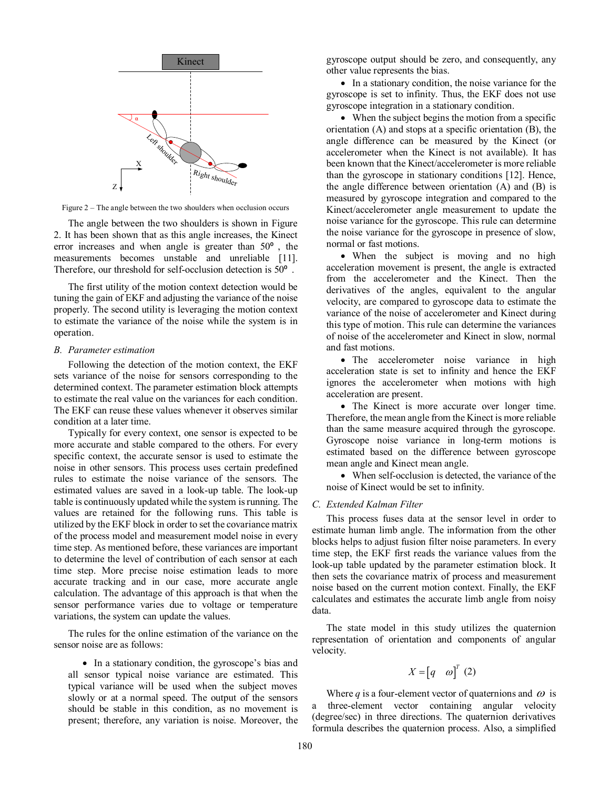

Figure 2 – The angle between the two shoulders when occlusion occurs

The angle between the two shoulders is shown in Figure 2. It has been shown that as this angle increases, the Kinect error increases and when angle is greater than  $50^{\circ}$ , the measurements becomes unstable and unreliable [11]. Therefore, our threshold for self-occlusion detection is  $50^{\circ}$ .

The first utility of the motion context detection would be tuning the gain of EKF and adjusting the variance of the noise properly. The second utility is leveraging the motion context to estimate the variance of the noise while the system is in operation.

#### *B. Parameter estimation*

Following the detection of the motion context, the EKF sets variance of the noise for sensors corresponding to the determined context. The parameter estimation block attempts to estimate the real value on the variances for each condition. The EKF can reuse these values whenever it observes similar condition at a later time.

Typically for every context, one sensor is expected to be more accurate and stable compared to the others. For every specific context, the accurate sensor is used to estimate the noise in other sensors. This process uses certain predefined rules to estimate the noise variance of the sensors. The estimated values are saved in a look-up table. The look-up table is continuously updated while the system is running. The values are retained for the following runs. This table is utilized by the EKF block in order to set the covariance matrix of the process model and measurement model noise in every time step. As mentioned before, these variances are important to determine the level of contribution of each sensor at each time step. More precise noise estimation leads to more accurate tracking and in our case, more accurate angle calculation. The advantage of this approach is that when the sensor performance varies due to voltage or temperature variations, the system can update the values.

The rules for the online estimation of the variance on the sensor noise are as follows:

• In a stationary condition, the gyroscope's bias and all sensor typical noise variance are estimated. This typical variance will be used when the subject moves slowly or at a normal speed. The output of the sensors should be stable in this condition, as no movement is present; therefore, any variation is noise. Moreover, the gyroscope output should be zero, and consequently, any other value represents the bias.

• In a stationary condition, the noise variance for the gyroscope is set to infinity. Thus, the EKF does not use gyroscope integration in a stationary condition.

• When the subject begins the motion from a specific orientation (A) and stops at a specific orientation (B), the angle difference can be measured by the Kinect (or accelerometer when the Kinect is not available). It has been known that the Kinect/accelerometer is more reliable than the gyroscope in stationary conditions [12]. Hence, the angle difference between orientation (A) and (B) is measured by gyroscope integration and compared to the Kinect/accelerometer angle measurement to update the noise variance for the gyroscope. This rule can determine the noise variance for the gyroscope in presence of slow, normal or fast motions.

• When the subject is moving and no high acceleration movement is present, the angle is extracted from the accelerometer and the Kinect. Then the derivatives of the angles, equivalent to the angular velocity, are compared to gyroscope data to estimate the variance of the noise of accelerometer and Kinect during this type of motion. This rule can determine the variances of noise of the accelerometer and Kinect in slow, normal and fast motions.

• The accelerometer noise variance in high acceleration state is set to infinity and hence the EKF ignores the accelerometer when motions with high acceleration are present.

• The Kinect is more accurate over longer time. Therefore, the mean angle from the Kinect is more reliable than the same measure acquired through the gyroscope. Gyroscope noise variance in long-term motions is estimated based on the difference between gyroscope mean angle and Kinect mean angle.

 When self-occlusion is detected, the variance of the noise of Kinect would be set to infinity.

#### *C. Extended Kalman Filter*

This process fuses data at the sensor level in order to estimate human limb angle. The information from the other blocks helps to adjust fusion filter noise parameters. In every time step, the EKF first reads the variance values from the look-up table updated by the parameter estimation block. It then sets the covariance matrix of process and measurement noise based on the current motion context. Finally, the EKF calculates and estimates the accurate limb angle from noisy data.

The state model in this study utilizes the quaternion representation of orientation and components of angular velocity.

$$
X = [q \quad \omega]^T (2)
$$

Where  $q$  is a four-element vector of quaternions and  $\omega$  is a three-element vector containing angular velocity (degree/sec) in three directions. The quaternion derivatives formula describes the quaternion process. Also, a simplified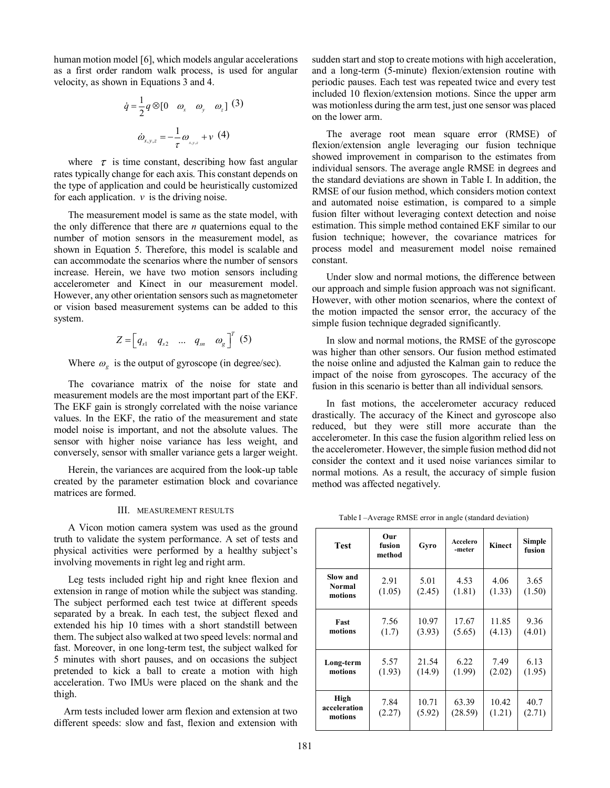human motion model [6], which models angular accelerations as a first order random walk process, is used for angular velocity, as shown in Equations 3 and 4.

$$
\dot{q} = \frac{1}{2}q \otimes [0 \quad \omega_x \quad \omega_y \quad \omega_z] \tag{3}
$$
\n
$$
\dot{\omega}_{x,y,z} = -\frac{1}{\tau} \omega_{x,y,z} + v \tag{4}
$$

where  $\tau$  is time constant, describing how fast angular rates typically change for each axis. This constant depends on the type of application and could be heuristically customized for each application.  $\nu$  is the driving noise.

The measurement model is same as the state model, with the only difference that there are *n* quaternions equal to the number of motion sensors in the measurement model, as shown in Equation 5. Therefore, this model is scalable and can accommodate the scenarios where the number of sensors increase. Herein, we have two motion sensors including accelerometer and Kinect in our measurement model. However, any other orientation sensors such as magnetometer or vision based measurement systems can be added to this system.

$$
Z = \begin{bmatrix} q_{s1} & q_{s2} & \dots & q_{sn} & \omega_g \end{bmatrix}^T (5)
$$

Where  $\omega_{g}$  is the output of gyroscope (in degree/sec).

The covariance matrix of the noise for state and measurement models are the most important part of the EKF. The EKF gain is strongly correlated with the noise variance values. In the EKF, the ratio of the measurement and state model noise is important, and not the absolute values. The sensor with higher noise variance has less weight, and conversely, sensor with smaller variance gets a larger weight.

Herein, the variances are acquired from the look-up table created by the parameter estimation block and covariance matrices are formed.

### III. MEASUREMENT RESULTS

A Vicon motion camera system was used as the ground truth to validate the system performance. A set of tests and physical activities were performed by a healthy subject's involving movements in right leg and right arm.

Leg tests included right hip and right knee flexion and extension in range of motion while the subject was standing. The subject performed each test twice at different speeds separated by a break. In each test, the subject flexed and extended his hip 10 times with a short standstill between them. The subject also walked at two speed levels: normal and fast. Moreover, in one long-term test, the subject walked for 5 minutes with short pauses, and on occasions the subject pretended to kick a ball to create a motion with high acceleration. Two IMUs were placed on the shank and the thigh.

Arm tests included lower arm flexion and extension at two different speeds: slow and fast, flexion and extension with

sudden start and stop to create motions with high acceleration, and a long-term (5-minute) flexion/extension routine with periodic pauses. Each test was repeated twice and every test included 10 flexion/extension motions. Since the upper arm was motionless during the arm test, just one sensor was placed on the lower arm.

The average root mean square error (RMSE) of flexion/extension angle leveraging our fusion technique showed improvement in comparison to the estimates from individual sensors. The average angle RMSE in degrees and the standard deviations are shown in Table I. In addition, the RMSE of our fusion method, which considers motion context and automated noise estimation, is compared to a simple fusion filter without leveraging context detection and noise estimation. This simple method contained EKF similar to our fusion technique; however, the covariance matrices for process model and measurement model noise remained constant.

Under slow and normal motions, the difference between our approach and simple fusion approach was not significant. However, with other motion scenarios, where the context of the motion impacted the sensor error, the accuracy of the simple fusion technique degraded significantly.

In slow and normal motions, the RMSE of the gyroscope was higher than other sensors. Our fusion method estimated the noise online and adjusted the Kalman gain to reduce the impact of the noise from gyroscopes. The accuracy of the fusion in this scenario is better than all individual sensors.

In fast motions, the accelerometer accuracy reduced drastically. The accuracy of the Kinect and gyroscope also reduced, but they were still more accurate than the accelerometer. In this case the fusion algorithm relied less on the accelerometer. However, the simple fusion method did not consider the context and it used noise variances similar to normal motions. As a result, the accuracy of simple fusion method was affected negatively.

Table I –Average RMSE error in angle (standard deviation)

| <b>Test</b>                          | Our<br>fusion<br>method | Gyro            | Accelero<br>-meter | <b>Kinect</b>   | Simple<br>fusion |
|--------------------------------------|-------------------------|-----------------|--------------------|-----------------|------------------|
| Slow and<br><b>Normal</b><br>motions | 2.91<br>(1.05)          | 5.01<br>(2.45)  | 4.53<br>(1.81)     | 4.06<br>(1.33)  | 3.65<br>(1.50)   |
| Fast<br>motions                      | 7.56<br>(1.7)           | 10.97<br>(3.93) | 17.67<br>(5.65)    | 11.85<br>(4.13) | 9.36<br>(4.01)   |
| Long-term<br>motions                 | 5.57<br>(1.93)          | 21.54<br>(14.9) | 6.22<br>(1.99)     | 7.49<br>(2.02)  | 6.13<br>(1.95)   |
| High<br>acceleration<br>motions      | 7.84<br>(2.27)          | 10.71<br>(5.92) | 63.39<br>(28.59)   | 10.42<br>(1.21) | 40.7<br>(2.71)   |